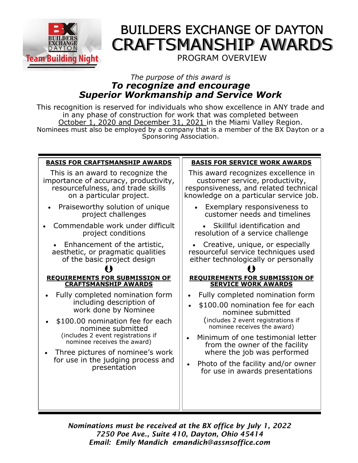

# **BUILDERS EXCHANGE OF DAYTON** CRAFTSMANSHIP AWARDS

## PROGRAM OVERVIEW

## *The purpose of this award is To recognize and encourage Superior Workmanship and Service Work*

This recognition is reserved for individuals who show excellence in ANY trade and in any phase of construction for work that was completed between October 1, 2020 and December 31, 2021 in the Miami Valley Region. Nominees must also be employed by a company that is a member of the BX Dayton or a Sponsoring Association.

| <b>BASIS FOR CRAFTSMANSHIP AWARDS</b>                                                  | <b>BASIS FOR SERVICE WORK AWARDS</b>                                                                              |  |
|----------------------------------------------------------------------------------------|-------------------------------------------------------------------------------------------------------------------|--|
| This is an award to recognize the                                                      | This award recognizes excellence in                                                                               |  |
| importance of accuracy, productivity,                                                  | customer service, productivity,                                                                                   |  |
| resourcefulness, and trade skills                                                      | responsiveness, and related technical                                                                             |  |
| on a particular project.                                                               | knowledge on a particular service job.                                                                            |  |
| Praiseworthy solution of unique<br>project challenges                                  | Exemplary responsiveness to<br>$\bullet$<br>customer needs and timelines                                          |  |
| Commendable work under difficult                                                       | Skillful identification and                                                                                       |  |
| project conditions                                                                     | resolution of a service challenge                                                                                 |  |
| Enhancement of the artistic,                                                           | Creative, unique, or especially                                                                                   |  |
| aesthetic, or pragmatic qualities                                                      | resourceful service techniques used                                                                               |  |
| of the basic project design                                                            | either technologically or personally                                                                              |  |
| <b>REQUIREMENTS FOR SUBMISSION OF</b>                                                  | <b>REQUIREMENTS FOR SUBMISSION OF</b>                                                                             |  |
| <b>CRAFTSMANSHIP AWARDS</b>                                                            | <b>SERVICE WORK AWARDS</b>                                                                                        |  |
| Fully completed nomination form                                                        | Fully completed nomination form                                                                                   |  |
| including description of                                                               | \$100.00 nomination fee for each                                                                                  |  |
| work done by Nominee                                                                   | nominee submitted                                                                                                 |  |
| \$100.00 nomination fee for each                                                       | (includes 2 event registrations if                                                                                |  |
| nominee submitted                                                                      | nominee receives the award)                                                                                       |  |
| (includes 2 event registrations if                                                     | Minimum of one testimonial letter                                                                                 |  |
| nominee receives the award)                                                            | from the owner of the facility                                                                                    |  |
| Three pictures of nominee's work<br>for use in the judging process and<br>presentation | where the job was performed<br>Photo of the facility and/or owner<br>$\bullet$<br>for use in awards presentations |  |
|                                                                                        |                                                                                                                   |  |

*Nominations must be received at the BX office by July 1, 2022 7250 Poe Ave., Suite 410, Dayton, Ohio 45414 Email: Emily Mandich emandich@assnsoffice.com*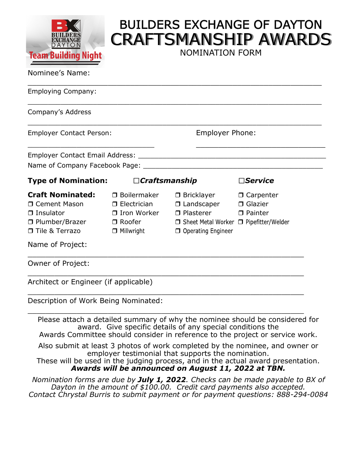

# **BUILDERS EXCHANGE OF DAYTON** CRAFTSMANSHIP AWARDS

NOMINATION FORM

#### Nominee's Name:

| <b>Employer Contact Person:</b>         |                                                                                    | <b>Employer Phone:</b>                                                                                                                                      |  |
|-----------------------------------------|------------------------------------------------------------------------------------|-------------------------------------------------------------------------------------------------------------------------------------------------------------|--|
|                                         |                                                                                    |                                                                                                                                                             |  |
|                                         |                                                                                    |                                                                                                                                                             |  |
|                                         |                                                                                    | $\Box$ Service                                                                                                                                              |  |
| $\Box$ Boilermaker<br>$\Box$ Millwright | $\Box$ Plasterer<br>O Operating Engineer                                           | □ Painter                                                                                                                                                   |  |
|                                         |                                                                                    |                                                                                                                                                             |  |
|                                         | <b>Type of Nomination:</b><br>□ Electrician<br>$\Box$ Plumber/Brazer $\Box$ Roofer | $\Box$ Craftsmanship<br>$\Box$ Bricklayer $\Box$ Carpenter<br>$\Box$ Landscaper $\Box$ Glazier<br>□ Iron Worker<br>□ Sheet Metal Worker □ Pipefitter/Welder |  |

Description of Work Being Nominated:

Please attach a detailed summary of why the nominee should be considered for award. Give specific details of any special conditions the Awards Committee should consider in reference to the project or service work.

\_\_\_\_\_\_\_\_\_\_\_\_\_\_\_\_\_\_\_\_\_\_\_\_\_\_\_\_\_\_\_\_\_\_\_\_\_\_\_\_\_\_\_\_\_\_\_\_\_\_\_\_\_\_\_\_\_\_\_\_\_\_

Also submit at least 3 photos of work completed by the nominee, and owner or

employer testimonial that supports the nomination.

These will be used in the judging process, and in the actual award presentation. *Awards will be announced on August 11, 2022 at TBN.*

*Nomination forms are due by July 1, 2022. Checks can be made payable to BX of Dayton in the amount of \$100.00. Credit card payments also accepted. Contact Chrystal Burris to submit payment or for payment questions: 888-294-0084*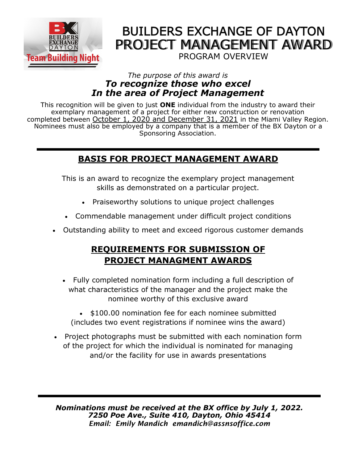

## **BUILDERS EXCHANGE OF DAYTON** PROJECT MANAGEMENT AWARD PROGRAM OVERVIEW

## *The purpose of this award is To recognize those who excel In the area of Project Management*

This recognition will be given to just **ONE** individual from the industry to award their exemplary management of a project for either new construction or renovation completed between October 1, 2020 and December 31, 2021 in the Miami Valley Region. Nominees must also be employed by a company that is a member of the BX Dayton or a Sponsoring Association.

## **BASIS FOR PROJECT MANAGEMENT AWARD**

This is an award to recognize the exemplary project management skills as demonstrated on a particular project.

- Praiseworthy solutions to unique project challenges
- Commendable management under difficult project conditions
- Outstanding ability to meet and exceed rigorous customer demands

## **REQUIREMENTS FOR SUBMISSION OF PROJECT MANAGMENT AWARDS**

- Fully completed nomination form including a full description of what characteristics of the manager and the project make the nominee worthy of this exclusive award
	- \$100.00 nomination fee for each nominee submitted (includes two event registrations if nominee wins the award)
- Project photographs must be submitted with each nomination form of the project for which the individual is nominated for managing and/or the facility for use in awards presentations

*Nominations must be received at the BX office by July 1, 2022. 7250 Poe Ave., Suite 410, Dayton, Ohio 45414 Email: Emily Mandich emandich@assnsoffice.com*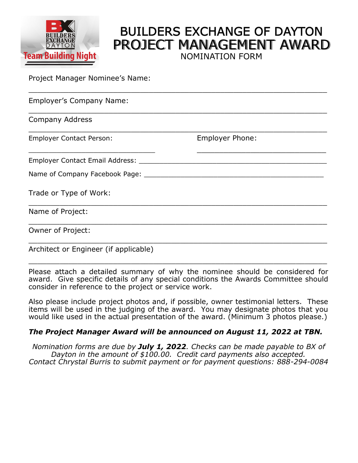

## **BUILDERS EXCHANGE OF DAYTON** PROJECT MANAGEMENT AWARD NOMINATION FORM

Project Manager Nominee's Name:

| <b>Employer's Company Name:</b>       |                        |  |
|---------------------------------------|------------------------|--|
| <b>Company Address</b>                |                        |  |
| <b>Employer Contact Person:</b>       | <b>Employer Phone:</b> |  |
| Employer Contact Email Address: _____ |                        |  |
| Name of Company Facebook Page:        |                        |  |
| Trade or Type of Work:                |                        |  |
| Name of Project:                      |                        |  |
| Owner of Project:                     |                        |  |
|                                       |                        |  |

Architect or Engineer (if applicable)

Please attach a detailed summary of why the nominee should be considered for award. Give specific details of any special conditions the Awards Committee should consider in reference to the project or service work.

\_\_\_\_\_\_\_\_\_\_\_\_\_\_\_\_\_\_\_\_\_\_\_\_\_\_\_\_\_\_\_\_\_\_\_\_\_\_\_\_\_\_\_\_\_\_\_\_\_\_\_\_\_\_\_\_\_\_\_\_\_\_\_\_\_\_\_

Also please include project photos and, if possible, owner testimonial letters. These items will be used in the judging of the award. You may designate photos that you would like used in the actual presentation of the award. (Minimum 3 photos please.)

### *The Project Manager Award will be announced on August 11, 2022 at TBN.*

*Nomination forms are due by July 1, 2022. Checks can be made payable to BX of Dayton in the amount of \$100.00. Credit card payments also accepted. Contact Chrystal Burris to submit payment or for payment questions: 888-294-0084*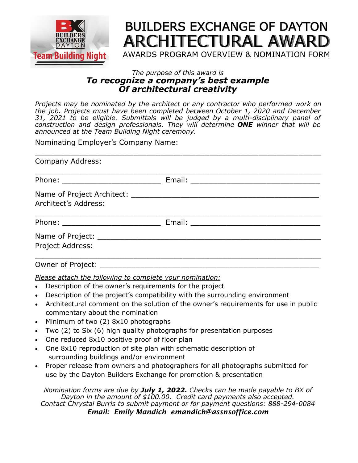

## **BUILDERS EXCHANGE OF DAYTON** ARCHITECTURAL AWARD AWARDS PROGRAM OVERVIEW & NOMINATION FORM

### *The purpose of this award is To recognize a company's best example Of architectural creativity*

*Projects may be nominated by the architect or any contractor who performed work on the job. Projects must have been completed between October 1, 2020 and December 31, 2021 to be eligible. Submittals will be judged by a multi-disciplinary panel of construction and design professionals. They will determine ONE winner that will be announced at the Team Building Night ceremony.* 

Nominating Employer's Company Name:

| <b>Company Address:</b> |  |
|-------------------------|--|
|                         |  |
| Architect's Address:    |  |
|                         |  |
| Project Address:        |  |
|                         |  |

Owner of Project:

*Please attach the following to complete your nomination:* 

- Description of the owner's requirements for the project
- Description of the project's compatibility with the surrounding environment
- Architectural comment on the solution of the owner's requirements for use in public commentary about the nomination
- Minimum of two (2) 8x10 photographs
- Two (2) to Six (6) high quality photographs for presentation purposes
- One reduced 8x10 positive proof of floor plan
- One 8x10 reproduction of site plan with schematic description of surrounding buildings and/or environment
- Proper release from owners and photographers for all photographs submitted for use by the Dayton Builders Exchange for promotion & presentation

*Nomination forms are due by July 1, 2022. Checks can be made payable to BX of Dayton in the amount of \$100.00. Credit card payments also accepted. Contact Chrystal Burris to submit payment or for payment questions: 888-294-0084 Email: Emily Mandich emandich@assnsoffice.com*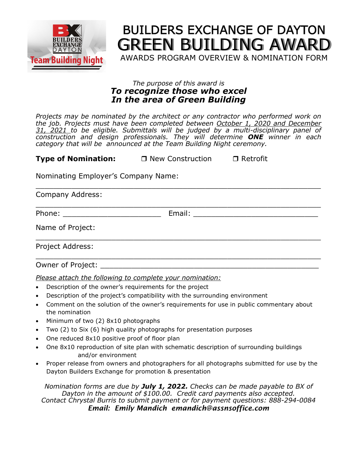

# **BUILDERS EXCHANGE OF DAYTON** GREEN BUILDING AWARD

AWARDS PROGRAM OVERVIEW & NOMINATION FORM

### *The purpose of this award is To recognize those who excel In the area of Green Building*

*Projects may be nominated by the architect or any contractor who performed work on the job. Projects must have been completed between October 1, 2020 and December 31, 2021 to be eligible. Submittals will be judged by a multi-disciplinary panel of construction and design professionals. They will determine ONE winner in each category that will be announced at the Team Building Night ceremony.* 

**Type of Nomination:** □ New Construction □ Retrofit

Nominating Employer's Company Name:

Company Address: \_\_\_\_\_\_\_\_\_\_\_\_\_\_\_\_\_\_\_\_\_\_\_\_\_\_\_\_\_\_\_\_\_\_\_\_\_\_\_\_\_\_\_\_\_\_\_\_\_\_\_\_\_\_\_\_\_\_\_\_\_\_\_\_ Phone: The example of the example of  $E$  mail:  $E$  and  $E$  and  $E$  and  $E$  and  $E$  and  $E$  and  $E$  and  $E$  and  $E$  and  $E$  and  $E$  and  $E$  and  $E$  and  $E$  and  $E$  and  $E$  and  $E$  and  $E$  and  $E$  and  $E$  and  $E$  and  $E$  and Name of Project: \_\_\_\_\_\_\_\_\_\_\_\_\_\_\_\_\_\_\_\_\_\_\_\_\_\_\_\_\_\_\_\_\_\_\_\_\_\_\_\_\_\_\_\_\_\_\_\_\_\_\_\_\_\_\_\_\_\_\_\_\_\_\_\_ Project Address: \_\_\_\_\_\_\_\_\_\_\_\_\_\_\_\_\_\_\_\_\_\_\_\_\_\_\_\_\_\_\_\_\_\_\_\_\_\_\_\_\_\_\_\_\_\_\_\_\_\_\_\_\_\_\_\_\_\_\_\_\_\_\_\_ Owner of Project:

\_\_\_\_\_\_\_\_\_\_\_\_\_\_\_\_\_\_\_\_\_\_\_\_\_\_\_\_\_\_\_\_\_\_\_\_\_\_\_\_\_\_\_\_\_\_\_\_\_\_\_\_\_\_\_\_\_\_\_\_\_\_\_\_

*Please attach the following to complete your nomination:* 

- Description of the owner's requirements for the project
- Description of the project's compatibility with the surrounding environment
- Comment on the solution of the owner's requirements for use in public commentary about the nomination
- Minimum of two (2) 8x10 photographs
- Two (2) to Six (6) high quality photographs for presentation purposes
- One reduced 8x10 positive proof of floor plan
- One 8x10 reproduction of site plan with schematic description of surrounding buildings and/or environment
- Proper release from owners and photographers for all photographs submitted for use by the Dayton Builders Exchange for promotion & presentation

*Nomination forms are due by July 1, 2022. Checks can be made payable to BX of Dayton in the amount of \$100.00. Credit card payments also accepted. Contact Chrystal Burris to submit payment or for payment questions: 888-294-0084 Email: Emily Mandich emandich@assnsoffice.com*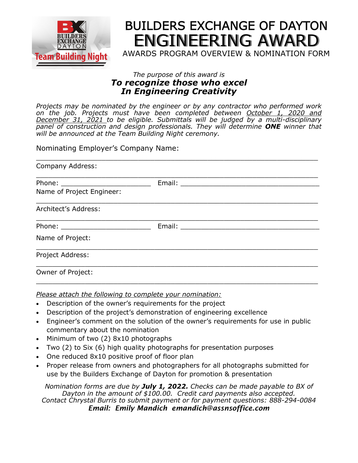

# **BUILDERS EXCHANGE OF DAYTON** ENGINEERING AWARD

AWARDS PROGRAM OVERVIEW & NOMINATION FORM

### *The purpose of this award is To recognize those who excel In Engineering Creativity*

*Projects may be nominated by the engineer or by any contractor who performed work on the job. Projects must have been completed between October 1, 2020 and December 31, 2021 to be eligible. Submittals will be judged by a multi-disciplinary panel of construction and design professionals. They will determine ONE winner that will be announced at the Team Building Night ceremony.* 

Nominating Employer's Company Name:

| Company Address:          |  |
|---------------------------|--|
|                           |  |
|                           |  |
| Name of Project Engineer: |  |
| Architect's Address:      |  |
|                           |  |
| Name of Project:          |  |
| Project Address:          |  |
| Owner of Project:         |  |

*Please attach the following to complete your nomination:* 

- Description of the owner's requirements for the project
- Description of the project's demonstration of engineering excellence
- Engineer's comment on the solution of the owner's requirements for use in public commentary about the nomination

 $\_$  , and the set of the set of the set of the set of the set of the set of the set of the set of the set of the set of the set of the set of the set of the set of the set of the set of the set of the set of the set of th

- Minimum of two (2) 8x10 photographs
- Two (2) to Six (6) high quality photographs for presentation purposes
- One reduced 8x10 positive proof of floor plan
- Proper release from owners and photographers for all photographs submitted for use by the Builders Exchange of Dayton for promotion & presentation

*Nomination forms are due by July 1, 2022. Checks can be made payable to BX of Dayton in the amount of \$100.00. Credit card payments also accepted. Contact Chrystal Burris to submit payment or for payment questions: 888-294-0084 Email: Emily Mandich emandich@assnsoffice.com*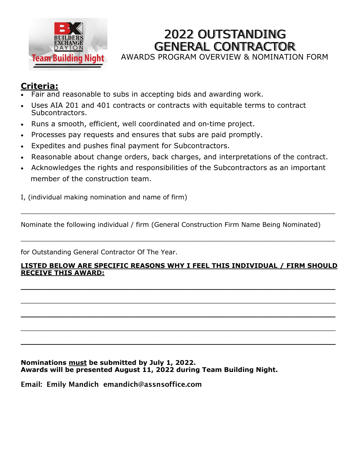

## 2022 OUTSTANDING GENERAL CONTRACTOR

AWARDS PROGRAM OVERVIEW & NOMINATION FORM

## **Criteria:**

- Fair and reasonable to subs in accepting bids and awarding work.
- Uses AIA 201 and 401 contracts or contracts with equitable terms to contract Subcontractors.
- Runs a smooth, efficient, well coordinated and on-time project.
- Processes pay requests and ensures that subs are paid promptly.
- Expedites and pushes final payment for Subcontractors.
- Reasonable about change orders, back charges, and interpretations of the contract.
- Acknowledges the rights and responsibilities of the Subcontractors as an important member of the construction team.

I, (individual making nomination and name of firm)

Nominate the following individual / firm (General Construction Firm Name Being Nominated)

\_\_\_\_\_\_\_\_\_\_\_\_\_\_\_\_\_\_\_\_\_\_\_\_\_\_\_\_\_\_\_\_\_\_\_\_\_\_\_\_\_\_\_\_\_\_\_\_\_\_\_\_\_\_\_\_\_\_\_\_\_\_\_\_\_\_\_\_\_\_\_\_\_\_\_\_\_

 $\_$  . The contribution of the contribution of the contribution of the contribution of the contribution of the contribution of the contribution of the contribution of the contribution of the contribution of the contributio

for Outstanding General Contractor Of The Year.

#### **LISTED BELOW ARE SPECIFIC REASONS WHY I FEEL THIS INDIVIDUAL / FIRM SHOULD RECEIVE THIS AWARD:**

 $\mathcal{L}_\mathcal{L} = \mathcal{L}_\mathcal{L} = \mathcal{L}_\mathcal{L} = \mathcal{L}_\mathcal{L} = \mathcal{L}_\mathcal{L} = \mathcal{L}_\mathcal{L} = \mathcal{L}_\mathcal{L} = \mathcal{L}_\mathcal{L} = \mathcal{L}_\mathcal{L} = \mathcal{L}_\mathcal{L} = \mathcal{L}_\mathcal{L} = \mathcal{L}_\mathcal{L} = \mathcal{L}_\mathcal{L} = \mathcal{L}_\mathcal{L} = \mathcal{L}_\mathcal{L} = \mathcal{L}_\mathcal{L} = \mathcal{L}_\mathcal{L}$ 

 $\_$  ,  $\_$  ,  $\_$  ,  $\_$  ,  $\_$  ,  $\_$  ,  $\_$  ,  $\_$  ,  $\_$  ,  $\_$  ,  $\_$  ,  $\_$  ,  $\_$  ,  $\_$  ,  $\_$  ,  $\_$  ,  $\_$  ,  $\_$  ,  $\_$  ,  $\_$  ,  $\_$  ,  $\_$  ,  $\_$  ,  $\_$  ,  $\_$  ,  $\_$  ,  $\_$  ,  $\_$  ,  $\_$  ,  $\_$  ,  $\_$  ,  $\_$  ,  $\_$  ,  $\_$  ,  $\_$  ,  $\_$  ,  $\_$  ,

\_\_\_\_\_\_\_\_\_\_\_\_\_\_\_\_\_\_\_\_\_\_\_\_\_\_\_\_\_\_\_\_\_\_\_\_\_\_\_\_\_\_\_\_\_\_\_\_\_\_\_\_\_\_\_\_\_\_\_\_\_\_\_\_\_\_\_\_\_\_\_\_\_\_\_\_\_

 $\mathcal{L}_\mathcal{L} = \mathcal{L}_\mathcal{L} = \mathcal{L}_\mathcal{L} = \mathcal{L}_\mathcal{L} = \mathcal{L}_\mathcal{L} = \mathcal{L}_\mathcal{L} = \mathcal{L}_\mathcal{L} = \mathcal{L}_\mathcal{L} = \mathcal{L}_\mathcal{L} = \mathcal{L}_\mathcal{L} = \mathcal{L}_\mathcal{L} = \mathcal{L}_\mathcal{L} = \mathcal{L}_\mathcal{L} = \mathcal{L}_\mathcal{L} = \mathcal{L}_\mathcal{L} = \mathcal{L}_\mathcal{L} = \mathcal{L}_\mathcal{L}$ 

 $\mathcal{L}_\mathcal{L} = \mathcal{L}_\mathcal{L} = \mathcal{L}_\mathcal{L} = \mathcal{L}_\mathcal{L} = \mathcal{L}_\mathcal{L} = \mathcal{L}_\mathcal{L} = \mathcal{L}_\mathcal{L} = \mathcal{L}_\mathcal{L} = \mathcal{L}_\mathcal{L} = \mathcal{L}_\mathcal{L} = \mathcal{L}_\mathcal{L} = \mathcal{L}_\mathcal{L} = \mathcal{L}_\mathcal{L} = \mathcal{L}_\mathcal{L} = \mathcal{L}_\mathcal{L} = \mathcal{L}_\mathcal{L} = \mathcal{L}_\mathcal{L}$ 

**Nominations must be submitted by July 1, 2022. Awards will be presented August 11, 2022 during Team Building Night.**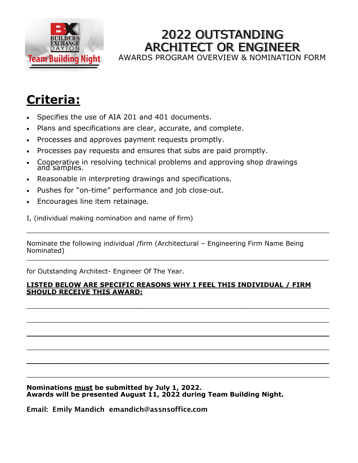

## 2022 OUTSTANDING ARCHITECT OR ENGINEER AWARDS PROGRAM OVERVIEW & NOMINATION FORM

# **Criteria:**

- Specifies the use of AIA 201 and 401 documents.
- Plans and specifications are clear, accurate, and complete.
- Processes and approves payment requests promptly.
- Processes pay requests and ensures that subs are paid promptly.
- Cooperative in resolving technical problems and approving shop drawings and samples.
- Reasonable in interpreting drawings and specifications.
- Pushes for "on-time" performance and job close-out.
- Encourages line item retainage.
- I, (individual making nomination and name of firm)

Nominate the following individual /firm (Architectural – Engineering Firm Name Being Nominated)  $\_$  , and the contribution of the contribution of the contribution of the contribution of the contribution of  $\mathcal{L}_\text{max}$ 

 $\_$  , and the set of the set of the set of the set of the set of the set of the set of the set of the set of the set of the set of the set of the set of the set of the set of the set of the set of the set of the set of th

for Outstanding Architect- Engineer Of The Year.

#### **LISTED BELOW ARE SPECIFIC REASONS WHY I FEEL THIS INDIVIDUAL / FIRM SHOULD RECEIVE THIS AWARD:**

 $\mathcal{L}_\mathcal{L} = \mathcal{L}_\mathcal{L} = \mathcal{L}_\mathcal{L} = \mathcal{L}_\mathcal{L} = \mathcal{L}_\mathcal{L} = \mathcal{L}_\mathcal{L} = \mathcal{L}_\mathcal{L} = \mathcal{L}_\mathcal{L} = \mathcal{L}_\mathcal{L} = \mathcal{L}_\mathcal{L} = \mathcal{L}_\mathcal{L} = \mathcal{L}_\mathcal{L} = \mathcal{L}_\mathcal{L} = \mathcal{L}_\mathcal{L} = \mathcal{L}_\mathcal{L} = \mathcal{L}_\mathcal{L} = \mathcal{L}_\mathcal{L}$ 

 $\_$  , and the set of the set of the set of the set of the set of the set of the set of the set of the set of the set of the set of the set of the set of the set of the set of the set of the set of the set of the set of th

\_\_\_\_\_\_\_\_\_\_\_\_\_\_\_\_\_\_\_\_\_\_\_\_\_\_\_\_\_\_\_\_\_\_\_\_\_\_\_\_\_\_\_\_\_\_\_\_\_\_\_\_\_\_\_\_\_\_\_\_\_\_\_\_\_\_\_\_\_\_\_\_\_\_

 $\mathcal{L}_\mathcal{L} = \mathcal{L}_\mathcal{L} = \mathcal{L}_\mathcal{L} = \mathcal{L}_\mathcal{L} = \mathcal{L}_\mathcal{L} = \mathcal{L}_\mathcal{L} = \mathcal{L}_\mathcal{L} = \mathcal{L}_\mathcal{L} = \mathcal{L}_\mathcal{L} = \mathcal{L}_\mathcal{L} = \mathcal{L}_\mathcal{L} = \mathcal{L}_\mathcal{L} = \mathcal{L}_\mathcal{L} = \mathcal{L}_\mathcal{L} = \mathcal{L}_\mathcal{L} = \mathcal{L}_\mathcal{L} = \mathcal{L}_\mathcal{L}$ 

 $\mathcal{L}_\mathcal{L} = \mathcal{L}_\mathcal{L} = \mathcal{L}_\mathcal{L} = \mathcal{L}_\mathcal{L} = \mathcal{L}_\mathcal{L} = \mathcal{L}_\mathcal{L} = \mathcal{L}_\mathcal{L} = \mathcal{L}_\mathcal{L} = \mathcal{L}_\mathcal{L} = \mathcal{L}_\mathcal{L} = \mathcal{L}_\mathcal{L} = \mathcal{L}_\mathcal{L} = \mathcal{L}_\mathcal{L} = \mathcal{L}_\mathcal{L} = \mathcal{L}_\mathcal{L} = \mathcal{L}_\mathcal{L} = \mathcal{L}_\mathcal{L}$ 

\_\_\_\_\_\_\_\_\_\_\_\_\_\_\_\_\_\_\_\_\_\_\_\_\_\_\_\_\_\_\_\_\_\_\_\_\_\_\_\_\_\_\_\_\_\_\_\_\_\_\_\_\_\_\_\_\_\_\_\_\_\_\_\_\_\_\_\_\_\_\_\_\_\_

**Nominations must be submitted by July 1, 2022. Awards will be presented August 11, 2022 during Team Building Night.**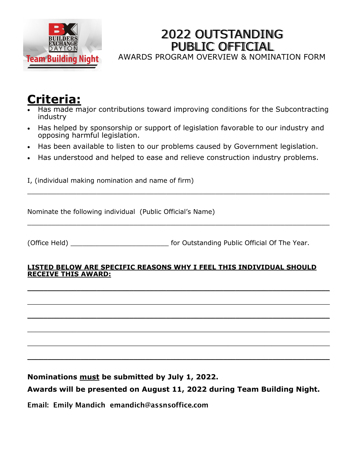

## 2022 OUTSTANDING PUBLIC OFFICIAL

AWARDS PROGRAM OVERVIEW & NOMINATION FORM

## **Criteria:**

- Has made major contributions toward improving conditions for the Subcontracting industry
- Has helped by sponsorship or support of legislation favorable to our industry and opposing harmful legislation.
- Has been available to listen to our problems caused by Government legislation.
- Has understood and helped to ease and relieve construction industry problems.

\_\_\_\_\_\_\_\_\_\_\_\_\_\_\_\_\_\_\_\_\_\_\_\_\_\_\_\_\_\_\_\_\_\_\_\_\_\_\_\_\_\_\_\_\_\_\_\_\_\_\_\_\_\_\_\_\_\_\_\_\_\_\_\_\_\_\_\_\_\_\_\_\_\_

\_\_\_\_\_\_\_\_\_\_\_\_\_\_\_\_\_\_\_\_\_\_\_\_\_\_\_\_\_\_\_\_\_\_\_\_\_\_\_\_\_\_\_\_\_\_\_\_\_\_\_\_\_\_\_\_\_\_\_\_\_\_\_\_\_\_\_\_\_\_\_\_\_\_

I, (individual making nomination and name of firm)

Nominate the following individual (Public Official's Name)

(Office Held) \_\_\_\_\_\_\_\_\_\_\_\_\_\_\_\_\_\_\_\_\_\_\_\_ for Outstanding Public Official Of The Year.

#### **LISTED BELOW ARE SPECIFIC REASONS WHY I FEEL THIS INDIVIDUAL SHOULD RECEIVE THIS AWARD:**

 $\_$  ,  $\_$  ,  $\_$  ,  $\_$  ,  $\_$  ,  $\_$  ,  $\_$  ,  $\_$  ,  $\_$  ,  $\_$  ,  $\_$  ,  $\_$  ,  $\_$  ,  $\_$  ,  $\_$  ,  $\_$  ,  $\_$  ,  $\_$  ,  $\_$  ,  $\_$  ,  $\_$  ,  $\_$  ,  $\_$  ,  $\_$  ,  $\_$  ,  $\_$  ,  $\_$  ,  $\_$  ,  $\_$  ,  $\_$  ,  $\_$  ,  $\_$  ,  $\_$  ,  $\_$  ,  $\_$  ,  $\_$  ,  $\_$  ,

\_\_\_\_\_\_\_\_\_\_\_\_\_\_\_\_\_\_\_\_\_\_\_\_\_\_\_\_\_\_\_\_\_\_\_\_\_\_\_\_\_\_\_\_\_\_\_\_\_\_\_\_\_\_\_\_\_\_\_\_\_\_\_\_\_\_\_\_\_\_\_\_\_\_

\_\_\_\_\_\_\_\_\_\_\_\_\_\_\_\_\_\_\_\_\_\_\_\_\_\_\_\_\_\_\_\_\_\_\_\_\_\_\_\_\_\_\_\_\_\_\_\_\_\_\_\_\_\_\_\_\_\_\_\_\_\_\_\_\_\_\_\_\_\_\_\_\_\_

\_\_\_\_\_\_\_\_\_\_\_\_\_\_\_\_\_\_\_\_\_\_\_\_\_\_\_\_\_\_\_\_\_\_\_\_\_\_\_\_\_\_\_\_\_\_\_\_\_\_\_\_\_\_\_\_\_\_\_\_\_\_\_\_\_\_\_\_\_\_\_\_\_\_

\_\_\_\_\_\_\_\_\_\_\_\_\_\_\_\_\_\_\_\_\_\_\_\_\_\_\_\_\_\_\_\_\_\_\_\_\_\_\_\_\_\_\_\_\_\_\_\_\_\_\_\_\_\_\_\_\_\_\_\_\_\_\_\_\_\_\_\_\_\_\_\_\_\_

\_\_\_\_\_\_\_\_\_\_\_\_\_\_\_\_\_\_\_\_\_\_\_\_\_\_\_\_\_\_\_\_\_\_\_\_\_\_\_\_\_\_\_\_\_\_\_\_\_\_\_\_\_\_\_\_\_\_\_\_\_\_\_\_\_\_\_\_\_\_\_\_\_\_

**Nominations must be submitted by July 1, 2022.**

## **Awards will be presented on August 11, 2022 during Team Building Night.**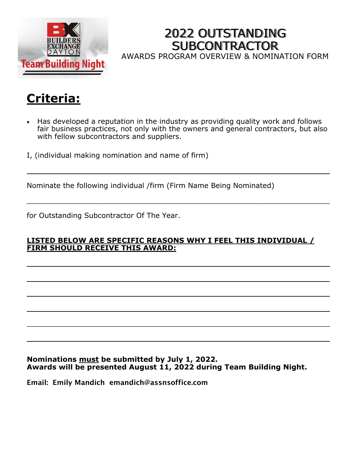

## 2022 OUTSTANDING **SUBCONTRACTOR** AWARDS PROGRAM OVERVIEW & NOMINATION FORM

# **Criteria:**

• Has developed a reputation in the industry as providing quality work and follows fair business practices, not only with the owners and general contractors, but also with fellow subcontractors and suppliers.

 $\mathcal{L}_\mathcal{L} = \mathcal{L}_\mathcal{L} = \mathcal{L}_\mathcal{L} = \mathcal{L}_\mathcal{L} = \mathcal{L}_\mathcal{L} = \mathcal{L}_\mathcal{L} = \mathcal{L}_\mathcal{L} = \mathcal{L}_\mathcal{L} = \mathcal{L}_\mathcal{L} = \mathcal{L}_\mathcal{L} = \mathcal{L}_\mathcal{L} = \mathcal{L}_\mathcal{L} = \mathcal{L}_\mathcal{L} = \mathcal{L}_\mathcal{L} = \mathcal{L}_\mathcal{L} = \mathcal{L}_\mathcal{L} = \mathcal{L}_\mathcal{L}$ 

\_\_\_\_\_\_\_\_\_\_\_\_\_\_\_\_\_\_\_\_\_\_\_\_\_\_\_\_\_\_\_\_\_\_\_\_\_\_\_\_\_\_\_\_\_\_\_\_\_\_\_\_\_\_\_\_\_\_\_\_\_\_\_\_\_\_\_\_

I, (individual making nomination and name of firm)

Nominate the following individual /firm (Firm Name Being Nominated)

for Outstanding Subcontractor Of The Year.

### **LISTED BELOW ARE SPECIFIC REASONS WHY I FEEL THIS INDIVIDUAL / FIRM SHOULD RECEIVE THIS AWARD:**

 $\_$  , and the contribution of the contribution of  $\mathcal{L}_\mathcal{A}$  , and the contribution of  $\mathcal{L}_\mathcal{A}$ 

 $\mathcal{L}_\mathcal{L} = \mathcal{L}_\mathcal{L} = \mathcal{L}_\mathcal{L} = \mathcal{L}_\mathcal{L} = \mathcal{L}_\mathcal{L} = \mathcal{L}_\mathcal{L} = \mathcal{L}_\mathcal{L} = \mathcal{L}_\mathcal{L} = \mathcal{L}_\mathcal{L} = \mathcal{L}_\mathcal{L} = \mathcal{L}_\mathcal{L} = \mathcal{L}_\mathcal{L} = \mathcal{L}_\mathcal{L} = \mathcal{L}_\mathcal{L} = \mathcal{L}_\mathcal{L} = \mathcal{L}_\mathcal{L} = \mathcal{L}_\mathcal{L}$ 

 $\_$  , and the contribution of the contribution of  $\mathcal{L}_\mathcal{A}$  , and the contribution of  $\mathcal{L}_\mathcal{A}$ 

 $\mathcal{L}_\mathcal{L} = \mathcal{L}_\mathcal{L} = \mathcal{L}_\mathcal{L} = \mathcal{L}_\mathcal{L} = \mathcal{L}_\mathcal{L} = \mathcal{L}_\mathcal{L} = \mathcal{L}_\mathcal{L} = \mathcal{L}_\mathcal{L} = \mathcal{L}_\mathcal{L} = \mathcal{L}_\mathcal{L} = \mathcal{L}_\mathcal{L} = \mathcal{L}_\mathcal{L} = \mathcal{L}_\mathcal{L} = \mathcal{L}_\mathcal{L} = \mathcal{L}_\mathcal{L} = \mathcal{L}_\mathcal{L} = \mathcal{L}_\mathcal{L}$ 

 $\_$  , and the contribution of the contribution of  $\mathcal{L}_\mathcal{A}$  , and the contribution of  $\mathcal{L}_\mathcal{A}$ 

 $\mathcal{L}_\mathcal{L} = \mathcal{L}_\mathcal{L} = \mathcal{L}_\mathcal{L} = \mathcal{L}_\mathcal{L} = \mathcal{L}_\mathcal{L} = \mathcal{L}_\mathcal{L} = \mathcal{L}_\mathcal{L} = \mathcal{L}_\mathcal{L} = \mathcal{L}_\mathcal{L} = \mathcal{L}_\mathcal{L} = \mathcal{L}_\mathcal{L} = \mathcal{L}_\mathcal{L} = \mathcal{L}_\mathcal{L} = \mathcal{L}_\mathcal{L} = \mathcal{L}_\mathcal{L} = \mathcal{L}_\mathcal{L} = \mathcal{L}_\mathcal{L}$ 

#### **Nominations must be submitted by July 1, 2022. Awards will be presented August 11, 2022 during Team Building Night.**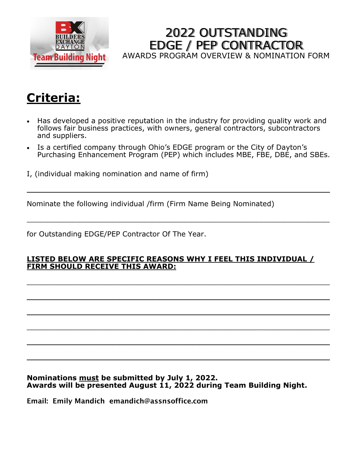

2022 OUTSTANDING EDGE / PEP CONTRACTOR AWARDS PROGRAM OVERVIEW & NOMINATION FORM

# **Criteria:**

- Has developed a positive reputation in the industry for providing quality work and follows fair business practices, with owners, general contractors, subcontractors and suppliers.
- Is a certified company through Ohio's EDGE program or the City of Dayton's Purchasing Enhancement Program (PEP) which includes MBE, FBE, DBE, and SBEs.

 $\mathcal{L}_\mathcal{L} = \mathcal{L}_\mathcal{L} = \mathcal{L}_\mathcal{L} = \mathcal{L}_\mathcal{L} = \mathcal{L}_\mathcal{L} = \mathcal{L}_\mathcal{L} = \mathcal{L}_\mathcal{L} = \mathcal{L}_\mathcal{L} = \mathcal{L}_\mathcal{L} = \mathcal{L}_\mathcal{L} = \mathcal{L}_\mathcal{L} = \mathcal{L}_\mathcal{L} = \mathcal{L}_\mathcal{L} = \mathcal{L}_\mathcal{L} = \mathcal{L}_\mathcal{L} = \mathcal{L}_\mathcal{L} = \mathcal{L}_\mathcal{L}$ 

\_\_\_\_\_\_\_\_\_\_\_\_\_\_\_\_\_\_\_\_\_\_\_\_\_\_\_\_\_\_\_\_\_\_\_\_\_\_\_\_\_\_\_\_\_\_\_\_\_\_\_\_\_\_\_\_\_\_\_\_\_\_\_\_\_\_\_\_

I, (individual making nomination and name of firm)

Nominate the following individual /firm (Firm Name Being Nominated)

for Outstanding EDGE/PEP Contractor Of The Year.

### **LISTED BELOW ARE SPECIFIC REASONS WHY I FEEL THIS INDIVIDUAL / FIRM SHOULD RECEIVE THIS AWARD:**

 $\_$  , and the contribution of the contribution of  $\mathcal{L}_\mathcal{A}$  , and the contribution of  $\mathcal{L}_\mathcal{A}$ 

 $\mathcal{L}_\mathcal{L} = \mathcal{L}_\mathcal{L} = \mathcal{L}_\mathcal{L} = \mathcal{L}_\mathcal{L} = \mathcal{L}_\mathcal{L} = \mathcal{L}_\mathcal{L} = \mathcal{L}_\mathcal{L} = \mathcal{L}_\mathcal{L} = \mathcal{L}_\mathcal{L} = \mathcal{L}_\mathcal{L} = \mathcal{L}_\mathcal{L} = \mathcal{L}_\mathcal{L} = \mathcal{L}_\mathcal{L} = \mathcal{L}_\mathcal{L} = \mathcal{L}_\mathcal{L} = \mathcal{L}_\mathcal{L} = \mathcal{L}_\mathcal{L}$ 

 $\mathcal{L}_\mathcal{L} = \mathcal{L}_\mathcal{L} = \mathcal{L}_\mathcal{L} = \mathcal{L}_\mathcal{L} = \mathcal{L}_\mathcal{L} = \mathcal{L}_\mathcal{L} = \mathcal{L}_\mathcal{L} = \mathcal{L}_\mathcal{L} = \mathcal{L}_\mathcal{L} = \mathcal{L}_\mathcal{L} = \mathcal{L}_\mathcal{L} = \mathcal{L}_\mathcal{L} = \mathcal{L}_\mathcal{L} = \mathcal{L}_\mathcal{L} = \mathcal{L}_\mathcal{L} = \mathcal{L}_\mathcal{L} = \mathcal{L}_\mathcal{L}$ 

 $\mathcal{L}_\mathcal{L} = \mathcal{L}_\mathcal{L} = \mathcal{L}_\mathcal{L} = \mathcal{L}_\mathcal{L} = \mathcal{L}_\mathcal{L} = \mathcal{L}_\mathcal{L} = \mathcal{L}_\mathcal{L} = \mathcal{L}_\mathcal{L} = \mathcal{L}_\mathcal{L} = \mathcal{L}_\mathcal{L} = \mathcal{L}_\mathcal{L} = \mathcal{L}_\mathcal{L} = \mathcal{L}_\mathcal{L} = \mathcal{L}_\mathcal{L} = \mathcal{L}_\mathcal{L} = \mathcal{L}_\mathcal{L} = \mathcal{L}_\mathcal{L}$ 

 $\mathcal{L}_\mathcal{L} = \mathcal{L}_\mathcal{L} = \mathcal{L}_\mathcal{L} = \mathcal{L}_\mathcal{L} = \mathcal{L}_\mathcal{L} = \mathcal{L}_\mathcal{L} = \mathcal{L}_\mathcal{L} = \mathcal{L}_\mathcal{L} = \mathcal{L}_\mathcal{L} = \mathcal{L}_\mathcal{L} = \mathcal{L}_\mathcal{L} = \mathcal{L}_\mathcal{L} = \mathcal{L}_\mathcal{L} = \mathcal{L}_\mathcal{L} = \mathcal{L}_\mathcal{L} = \mathcal{L}_\mathcal{L} = \mathcal{L}_\mathcal{L}$ 

 $\mathcal{L}_\mathcal{L} = \mathcal{L}_\mathcal{L} = \mathcal{L}_\mathcal{L} = \mathcal{L}_\mathcal{L} = \mathcal{L}_\mathcal{L} = \mathcal{L}_\mathcal{L} = \mathcal{L}_\mathcal{L} = \mathcal{L}_\mathcal{L} = \mathcal{L}_\mathcal{L} = \mathcal{L}_\mathcal{L} = \mathcal{L}_\mathcal{L} = \mathcal{L}_\mathcal{L} = \mathcal{L}_\mathcal{L} = \mathcal{L}_\mathcal{L} = \mathcal{L}_\mathcal{L} = \mathcal{L}_\mathcal{L} = \mathcal{L}_\mathcal{L}$ 

**Nominations must be submitted by July 1, 2022. Awards will be presented August 11, 2022 during Team Building Night.**